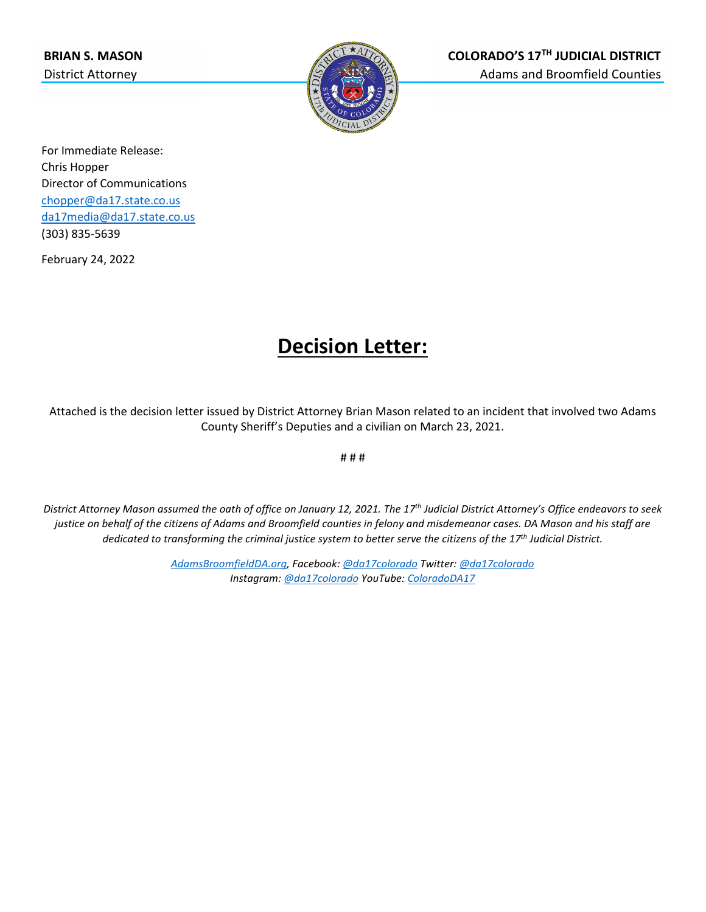

For Immediate Release: Chris Hopper Director of Communications [chopper@da17.state.co.us](mailto:chopper@da17.state.co.us) [da17media@da17.state.co.us](mailto:da17media@da17.state.co.us) (303) 835-5639

February 24, 2022

## **Decision Letter:**

Attached is the decision letter issued by District Attorney Brian Mason related to an incident that involved two Adams County Sheriff's Deputies and a civilian on March 23, 2021.

# # #

*District Attorney Mason assumed the oath of office on January 12, 2021. The 17th Judicial District Attorney's Office endeavors to seek justice on behalf of the citizens of Adams and Broomfield counties in felony and misdemeanor cases. DA Mason and his staff are dedicated to transforming the criminal justice system to better serve the citizens of the 17th Judicial District.*

> *[AdamsBroomfieldDA.org,](http://www.adamsbroomfieldda.org/) Facebook[: @da17colorado](https://www.facebook.com/da17colorado) Twitter[: @da17colorado](https://twitter.com/da17colorado) Instagram: [@da17colorado](https://www.instagram.com/da17colorado/) YouTube[: ColoradoDA17](https://www.youtube.com/channel/UCFBOnArLEfiBR9cy-L8SBzA)*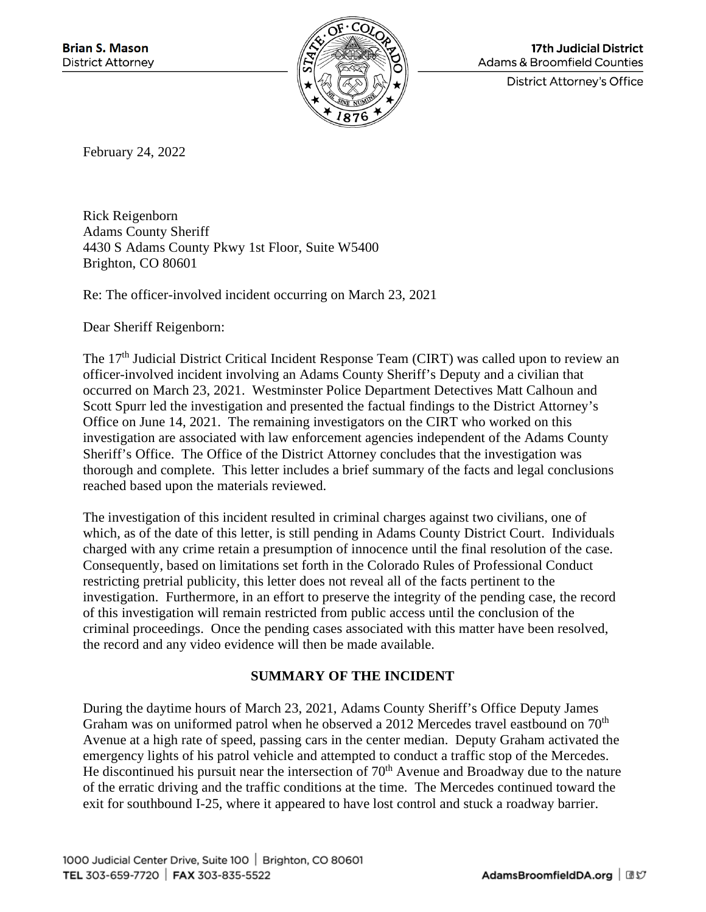

**17th Judicial District Adams & Broomfield Counties** 

**District Attorney's Office** 

February 24, 2022

Rick Reigenborn Adams County Sheriff 4430 S Adams County Pkwy 1st Floor, Suite W5400 Brighton, CO 80601

Re: The officer-involved incident occurring on March 23, 2021

Dear Sheriff Reigenborn:

The 17<sup>th</sup> Judicial District Critical Incident Response Team (CIRT) was called upon to review an officer-involved incident involving an Adams County Sheriff's Deputy and a civilian that occurred on March 23, 2021. Westminster Police Department Detectives Matt Calhoun and Scott Spurr led the investigation and presented the factual findings to the District Attorney's Office on June 14, 2021. The remaining investigators on the CIRT who worked on this investigation are associated with law enforcement agencies independent of the Adams County Sheriff's Office. The Office of the District Attorney concludes that the investigation was thorough and complete. This letter includes a brief summary of the facts and legal conclusions reached based upon the materials reviewed.

The investigation of this incident resulted in criminal charges against two civilians, one of which, as of the date of this letter, is still pending in Adams County District Court. Individuals charged with any crime retain a presumption of innocence until the final resolution of the case. Consequently, based on limitations set forth in the Colorado Rules of Professional Conduct restricting pretrial publicity, this letter does not reveal all of the facts pertinent to the investigation. Furthermore, in an effort to preserve the integrity of the pending case, the record of this investigation will remain restricted from public access until the conclusion of the criminal proceedings. Once the pending cases associated with this matter have been resolved, the record and any video evidence will then be made available.

## **SUMMARY OF THE INCIDENT**

During the daytime hours of March 23, 2021, Adams County Sheriff's Office Deputy James Graham was on uniformed patrol when he observed a 2012 Mercedes travel eastbound on 70<sup>th</sup> Avenue at a high rate of speed, passing cars in the center median. Deputy Graham activated the emergency lights of his patrol vehicle and attempted to conduct a traffic stop of the Mercedes. He discontinued his pursuit near the intersection of  $70<sup>th</sup>$  Avenue and Broadway due to the nature of the erratic driving and the traffic conditions at the time. The Mercedes continued toward the exit for southbound I-25, where it appeared to have lost control and stuck a roadway barrier.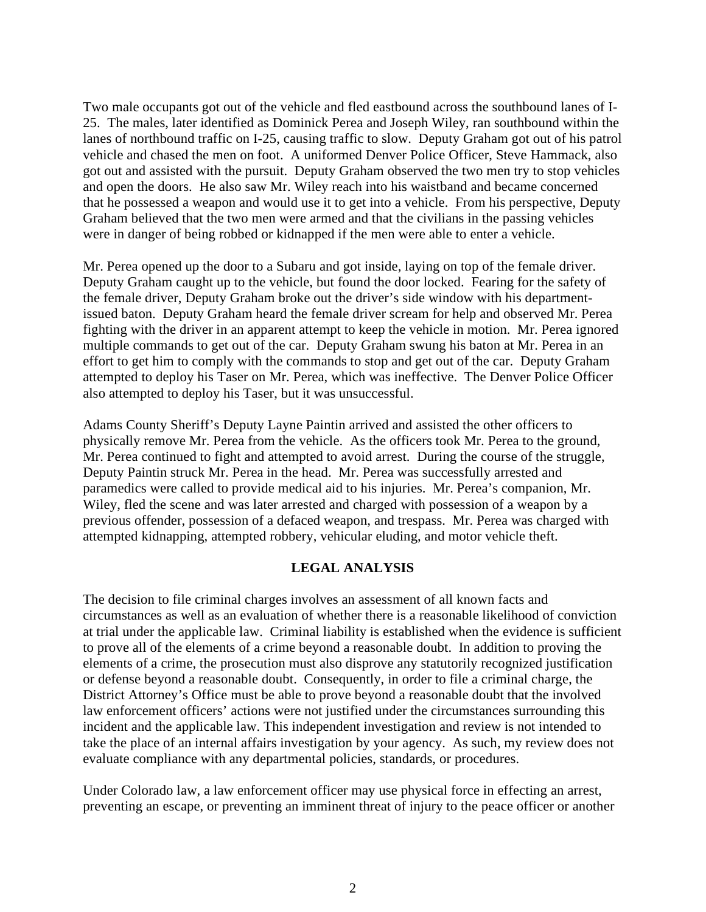Two male occupants got out of the vehicle and fled eastbound across the southbound lanes of I-25. The males, later identified as Dominick Perea and Joseph Wiley, ran southbound within the lanes of northbound traffic on I-25, causing traffic to slow. Deputy Graham got out of his patrol vehicle and chased the men on foot. A uniformed Denver Police Officer, Steve Hammack, also got out and assisted with the pursuit. Deputy Graham observed the two men try to stop vehicles and open the doors. He also saw Mr. Wiley reach into his waistband and became concerned that he possessed a weapon and would use it to get into a vehicle. From his perspective, Deputy Graham believed that the two men were armed and that the civilians in the passing vehicles were in danger of being robbed or kidnapped if the men were able to enter a vehicle.

Mr. Perea opened up the door to a Subaru and got inside, laying on top of the female driver. Deputy Graham caught up to the vehicle, but found the door locked. Fearing for the safety of the female driver, Deputy Graham broke out the driver's side window with his departmentissued baton. Deputy Graham heard the female driver scream for help and observed Mr. Perea fighting with the driver in an apparent attempt to keep the vehicle in motion. Mr. Perea ignored multiple commands to get out of the car. Deputy Graham swung his baton at Mr. Perea in an effort to get him to comply with the commands to stop and get out of the car. Deputy Graham attempted to deploy his Taser on Mr. Perea, which was ineffective. The Denver Police Officer also attempted to deploy his Taser, but it was unsuccessful.

Adams County Sheriff's Deputy Layne Paintin arrived and assisted the other officers to physically remove Mr. Perea from the vehicle. As the officers took Mr. Perea to the ground, Mr. Perea continued to fight and attempted to avoid arrest. During the course of the struggle, Deputy Paintin struck Mr. Perea in the head. Mr. Perea was successfully arrested and paramedics were called to provide medical aid to his injuries. Mr. Perea's companion, Mr. Wiley, fled the scene and was later arrested and charged with possession of a weapon by a previous offender, possession of a defaced weapon, and trespass. Mr. Perea was charged with attempted kidnapping, attempted robbery, vehicular eluding, and motor vehicle theft.

## **LEGAL ANALYSIS**

The decision to file criminal charges involves an assessment of all known facts and circumstances as well as an evaluation of whether there is a reasonable likelihood of conviction at trial under the applicable law. Criminal liability is established when the evidence is sufficient to prove all of the elements of a crime beyond a reasonable doubt. In addition to proving the elements of a crime, the prosecution must also disprove any statutorily recognized justification or defense beyond a reasonable doubt. Consequently, in order to file a criminal charge, the District Attorney's Office must be able to prove beyond a reasonable doubt that the involved law enforcement officers' actions were not justified under the circumstances surrounding this incident and the applicable law. This independent investigation and review is not intended to take the place of an internal affairs investigation by your agency. As such, my review does not evaluate compliance with any departmental policies, standards, or procedures.

Under Colorado law, a law enforcement officer may use physical force in effecting an arrest, preventing an escape, or preventing an imminent threat of injury to the peace officer or another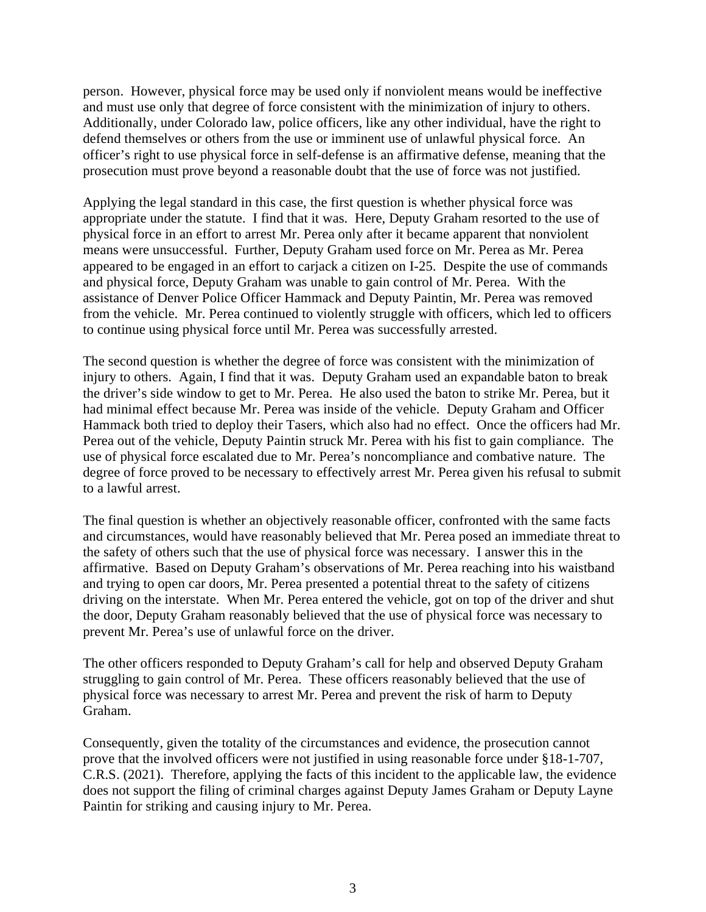person. However, physical force may be used only if nonviolent means would be ineffective and must use only that degree of force consistent with the minimization of injury to others. Additionally, under Colorado law, police officers, like any other individual, have the right to defend themselves or others from the use or imminent use of unlawful physical force. An officer's right to use physical force in self-defense is an affirmative defense, meaning that the prosecution must prove beyond a reasonable doubt that the use of force was not justified.

Applying the legal standard in this case, the first question is whether physical force was appropriate under the statute. I find that it was. Here, Deputy Graham resorted to the use of physical force in an effort to arrest Mr. Perea only after it became apparent that nonviolent means were unsuccessful. Further, Deputy Graham used force on Mr. Perea as Mr. Perea appeared to be engaged in an effort to carjack a citizen on I-25. Despite the use of commands and physical force, Deputy Graham was unable to gain control of Mr. Perea. With the assistance of Denver Police Officer Hammack and Deputy Paintin, Mr. Perea was removed from the vehicle. Mr. Perea continued to violently struggle with officers, which led to officers to continue using physical force until Mr. Perea was successfully arrested.

The second question is whether the degree of force was consistent with the minimization of injury to others. Again, I find that it was. Deputy Graham used an expandable baton to break the driver's side window to get to Mr. Perea. He also used the baton to strike Mr. Perea, but it had minimal effect because Mr. Perea was inside of the vehicle. Deputy Graham and Officer Hammack both tried to deploy their Tasers, which also had no effect. Once the officers had Mr. Perea out of the vehicle, Deputy Paintin struck Mr. Perea with his fist to gain compliance. The use of physical force escalated due to Mr. Perea's noncompliance and combative nature. The degree of force proved to be necessary to effectively arrest Mr. Perea given his refusal to submit to a lawful arrest.

The final question is whether an objectively reasonable officer, confronted with the same facts and circumstances, would have reasonably believed that Mr. Perea posed an immediate threat to the safety of others such that the use of physical force was necessary. I answer this in the affirmative. Based on Deputy Graham's observations of Mr. Perea reaching into his waistband and trying to open car doors, Mr. Perea presented a potential threat to the safety of citizens driving on the interstate. When Mr. Perea entered the vehicle, got on top of the driver and shut the door, Deputy Graham reasonably believed that the use of physical force was necessary to prevent Mr. Perea's use of unlawful force on the driver.

The other officers responded to Deputy Graham's call for help and observed Deputy Graham struggling to gain control of Mr. Perea. These officers reasonably believed that the use of physical force was necessary to arrest Mr. Perea and prevent the risk of harm to Deputy Graham.

Consequently, given the totality of the circumstances and evidence, the prosecution cannot prove that the involved officers were not justified in using reasonable force under §18-1-707, C.R.S. (2021). Therefore, applying the facts of this incident to the applicable law, the evidence does not support the filing of criminal charges against Deputy James Graham or Deputy Layne Paintin for striking and causing injury to Mr. Perea.